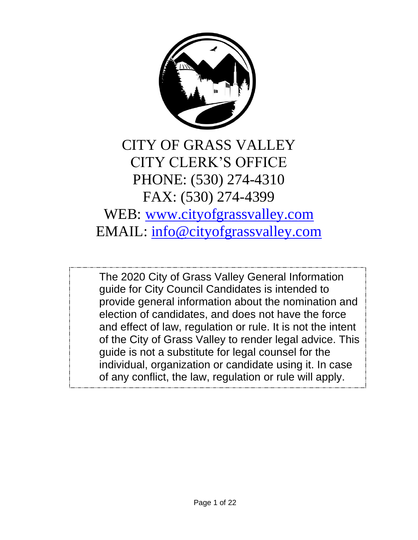

# CITY OF GRASS VALLEY CITY CLERK'S OFFICE PHONE: (530) 274-4310 FAX: (530) 274-4399 WEB: [www.cityofgrassvalley.com](http://www.cityofgrassvalley.com/) EMAIL: [info@cityofgrassvalley.com](mailto:info@cityofgrassvalley.com)

The 2020 City of Grass Valley General Information guide for City Council Candidates is intended to provide general information about the nomination and election of candidates, and does not have the force and effect of law, regulation or rule. It is not the intent of the City of Grass Valley to render legal advice. This guide is not a substitute for legal counsel for the individual, organization or candidate using it. In case of any conflict, the law, regulation or rule will apply.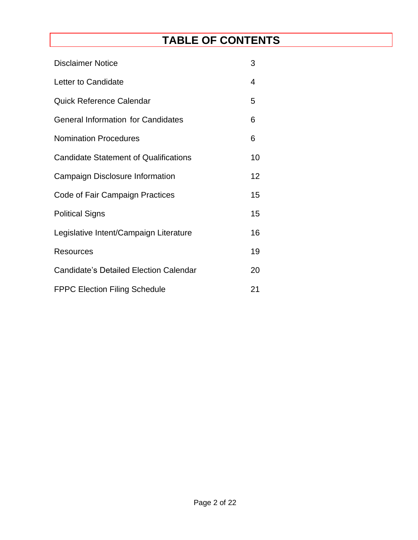# **TABLE OF CONTENTS**

| <b>Disclaimer Notice</b>                      | 3               |  |  |  |
|-----------------------------------------------|-----------------|--|--|--|
| Letter to Candidate                           | 4               |  |  |  |
| <b>Quick Reference Calendar</b>               | 5               |  |  |  |
| <b>General Information for Candidates</b>     | 6               |  |  |  |
| <b>Nomination Procedures</b>                  | 6               |  |  |  |
| <b>Candidate Statement of Qualifications</b>  | 10              |  |  |  |
| Campaign Disclosure Information               | 12 <sup>2</sup> |  |  |  |
| Code of Fair Campaign Practices               | 15              |  |  |  |
| <b>Political Signs</b>                        | 15              |  |  |  |
| Legislative Intent/Campaign Literature        | 16              |  |  |  |
| Resources                                     | 19              |  |  |  |
| <b>Candidate's Detailed Election Calendar</b> | 20              |  |  |  |
| <b>FPPC Election Filing Schedule</b>          |                 |  |  |  |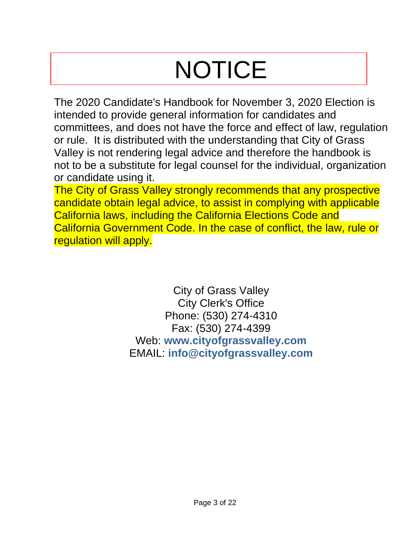# **NOTICE**

The 2020 Candidate's Handbook for November 3, 2020 Election is intended to provide general information for candidates and committees, and does not have the force and effect of law, regulation or rule. It is distributed with the understanding that City of Grass Valley is not rendering legal advice and therefore the handbook is not to be a substitute for legal counsel for the individual, organization or candidate using it.

The City of Grass Valley strongly recommends that any prospective candidate obtain legal advice, to assist in complying with applicable California laws, including the California Elections Code and California Government Code. In the case of conflict, the law, rule or regulation will apply.

> City of Grass Valley City Clerk's Office Phone: (530) 274-4310 Fax: (530) 274-4399 Web: **www.cityofgrassvalley.com** EMAIL: **info@cityofgrassvalley.com**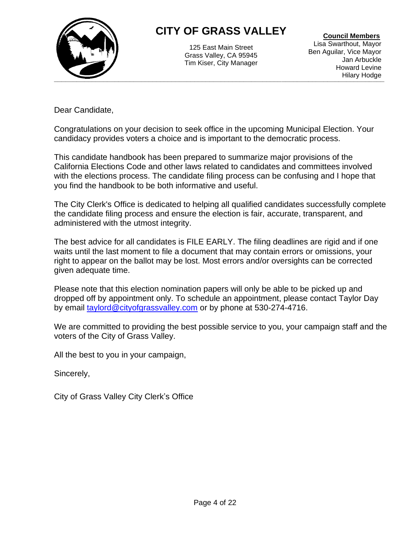

# **CITY OF GRASS VALLEY**

125 East Main Street Grass Valley, CA 95945 Tim Kiser, City Manager

 **Council Members** Lisa Swarthout, Mayor Ben Aguilar, Vice Mayor Jan Arbuckle Howard Levine Hilary Hodge

Dear Candidate,

Congratulations on your decision to seek office in the upcoming Municipal Election. Your candidacy provides voters a choice and is important to the democratic process.

This candidate handbook has been prepared to summarize major provisions of the California Elections Code and other laws related to candidates and committees involved with the elections process. The candidate filing process can be confusing and I hope that you find the handbook to be both informative and useful.

The City Clerk's Office is dedicated to helping all qualified candidates successfully complete the candidate filing process and ensure the election is fair, accurate, transparent, and administered with the utmost integrity.

The best advice for all candidates is FILE EARLY. The filing deadlines are rigid and if one waits until the last moment to file a document that may contain errors or omissions, your right to appear on the ballot may be lost. Most errors and/or oversights can be corrected given adequate time.

Please note that this election nomination papers will only be able to be picked up and dropped off by appointment only. To schedule an appointment, please contact Taylor Day by email [taylord@cityofgrassvalley.com](mailto:taylord@cityofgrassvalley.com) or by phone at 530-274-4716.

We are committed to providing the best possible service to you, your campaign staff and the voters of the City of Grass Valley.

All the best to you in your campaign,

Sincerely,

City of Grass Valley City Clerk's Office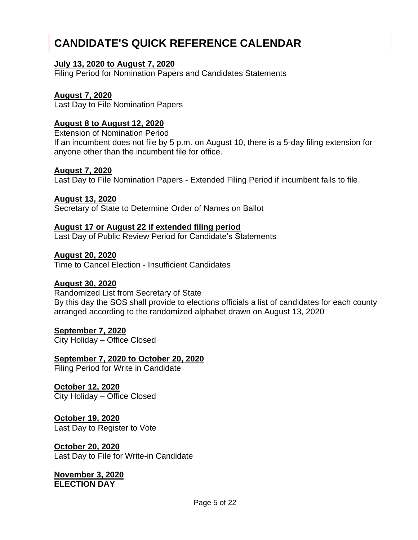# **CANDIDATE'S QUICK REFERENCE CALENDAR**

# **July 13, 2020 to August 7, 2020**

Filing Period for Nomination Papers and Candidates Statements

# **August 7, 2020**

Last Day to File Nomination Papers

# **August 8 to August 12, 2020**

Extension of Nomination Period

If an incumbent does not file by 5 p.m. on August 10, there is a 5-day filing extension for anyone other than the incumbent file for office.

#### **August 7, 2020**

Last Day to File Nomination Papers - Extended Filing Period if incumbent fails to file.

# **August 13, 2020**

Secretary of State to Determine Order of Names on Ballot

# **August 17 or August 22 if extended filing period**

Last Day of Public Review Period for Candidate's Statements

#### **August 20, 2020**

Time to Cancel Election - Insufficient Candidates

# **August 30, 2020**

Randomized List from Secretary of State By this day the SOS shall provide to elections officials a list of candidates for each county arranged according to the randomized alphabet drawn on August 13, 2020

# **September 7, 2020**

City Holiday – Office Closed

# **September 7, 2020 to October 20, 2020**

Filing Period for Write in Candidate

#### **October 12, 2020** City Holiday – Office Closed

**October 19, 2020** Last Day to Register to Vote

# **October 20, 2020**

Last Day to File for Write-in Candidate

**November 3, 2020 ELECTION DAY**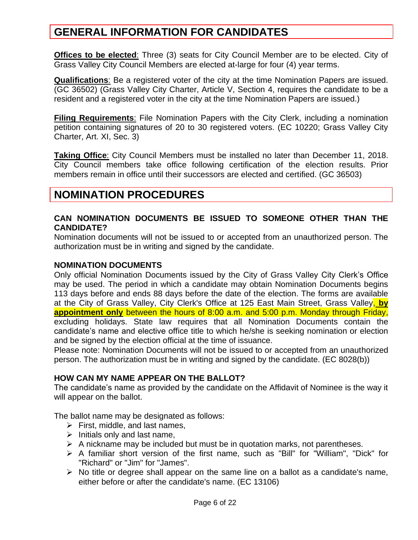# **GENERAL INFORMATION FOR CANDIDATES**

**Offices to be elected**: Three (3) seats for City Council Member are to be elected. City of Grass Valley City Council Members are elected at-large for four (4) year terms.

**Qualifications**: Be a registered voter of the city at the time Nomination Papers are issued. (GC 36502) (Grass Valley City Charter, Article V, Section 4, requires the candidate to be a resident and a registered voter in the city at the time Nomination Papers are issued.)

**Filing Requirements**: File Nomination Papers with the City Clerk, including a nomination petition containing signatures of 20 to 30 registered voters. (EC 10220; Grass Valley City Charter, Art. XI, Sec. 3)

**Taking Office**: City Council Members must be installed no later than December 11, 2018. City Council members take office following certification of the election results. Prior members remain in office until their successors are elected and certified. (GC 36503)

# **NOMINATION PROCEDURES**

## **CAN NOMINATION DOCUMENTS BE ISSUED TO SOMEONE OTHER THAN THE CANDIDATE?**

Nomination documents will not be issued to or accepted from an unauthorized person. The authorization must be in writing and signed by the candidate.

#### **NOMINATION DOCUMENTS**

Only official Nomination Documents issued by the City of Grass Valley City Clerk's Office may be used. The period in which a candidate may obtain Nomination Documents begins 113 days before and ends 88 days before the date of the election. The forms are available at the City of Grass Valley, City Clerk's Office at 125 East Main Street, Grass Valley, **by appointment only** between the hours of 8:00 a.m. and 5:00 p.m. Monday through Friday, excluding holidays. State law requires that all Nomination Documents contain the candidate's name and elective office title to which he/she is seeking nomination or election and be signed by the election official at the time of issuance.

Please note: Nomination Documents will not be issued to or accepted from an unauthorized person. The authorization must be in writing and signed by the candidate. (EC 8028(b))

# **HOW CAN MY NAME APPEAR ON THE BALLOT?**

The candidate's name as provided by the candidate on the Affidavit of Nominee is the way it will appear on the ballot.

The ballot name may be designated as follows:

- $\triangleright$  First, middle, and last names,
- $\triangleright$  Initials only and last name,
- $\triangleright$  A nickname may be included but must be in quotation marks, not parentheses.
- ➢ A familiar short version of the first name, such as "Bill" for "William", "Dick" for "Richard" or "Jim" for "James".
- $\triangleright$  No title or degree shall appear on the same line on a ballot as a candidate's name, either before or after the candidate's name. (EC 13106)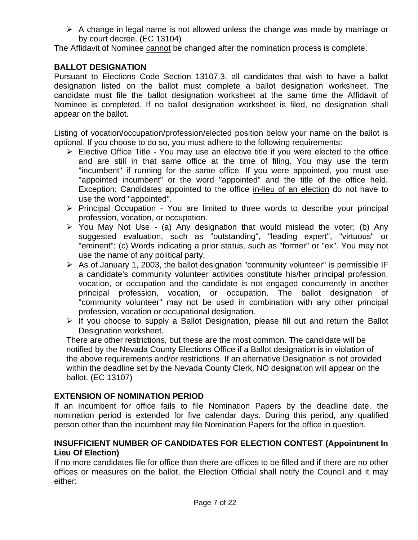$\triangleright$  A change in legal name is not allowed unless the change was made by marriage or by court decree. (EC 13104)

The Affidavit of Nominee cannot be changed after the nomination process is complete.

# **BALLOT DESIGNATION**

Pursuant to Elections Code Section 13107.3, all candidates that wish to have a ballot designation listed on the ballot must complete a ballot designation worksheet. The candidate must file the ballot designation worksheet at the same time the Affidavit of Nominee is completed. If no ballot designation worksheet is filed, no designation shall appear on the ballot.

Listing of vocation/occupation/profession/elected position below your name on the ballot is optional. If you choose to do so, you must adhere to the following requirements:

- $\triangleright$  Elective Office Title You may use an elective title if you were elected to the office and are still in that same office at the time of filing. You may use the term "incumbent" if running for the same office. If you were appointed, you must use "appointed incumbent" or the word "appointed" and the title of the office held. Exception: Candidates appointed to the office in-lieu of an election do not have to use the word "appointed".
- ➢ Principal Occupation You are limited to three words to describe your principal profession, vocation, or occupation.
- ➢ You May Not Use (a) Any designation that would mislead the voter; (b) Any suggested evaluation, such as "outstanding", "leading expert", "virtuous" or "eminent"; (c) Words indicating a prior status, such as "former" or "ex". You may not use the name of any political party.
- $\triangleright$  As of January 1, 2003, the ballot designation "community volunteer" is permissible IF a candidate's community volunteer activities constitute his/her principal profession, vocation, or occupation and the candidate is not engaged concurrently in another principal profession, vocation, or occupation. The ballot designation of "community volunteer" may not be used in combination with any other principal profession, vocation or occupational designation.
- $\triangleright$  If you choose to supply a Ballot Designation, please fill out and return the Ballot Designation worksheet.

There are other restrictions, but these are the most common. The candidate will be notified by the Nevada County Elections Office if a Ballot designation is in violation of the above requirements and/or restrictions. If an alternative Designation is not provided within the deadline set by the Nevada County Clerk, NO designation will appear on the ballot. (EC 13107)

# **EXTENSION OF NOMINATION PERIOD**

If an incumbent for office fails to file Nomination Papers by the deadline date, the nomination period is extended for five calendar days. During this period, any qualified person other than the incumbent may file Nomination Papers for the office in question.

# **INSUFFICIENT NUMBER OF CANDIDATES FOR ELECTION CONTEST (Appointment In Lieu Of Election)**

If no more candidates file for office than there are offices to be filled and if there are no other offices or measures on the ballot, the Election Official shall notify the Council and it may either: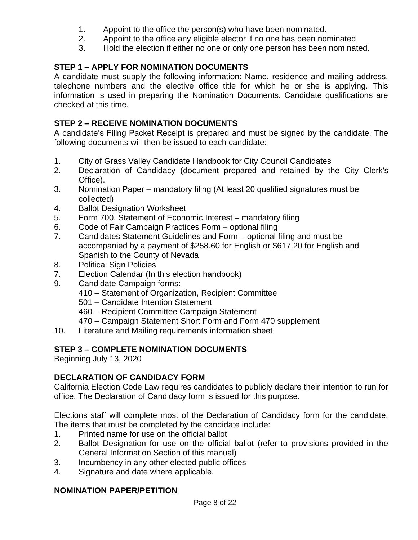- 1. Appoint to the office the person(s) who have been nominated.
- 2. Appoint to the office any eligible elector if no one has been nominated
- 3. Hold the election if either no one or only one person has been nominated.

# **STEP 1 – APPLY FOR NOMINATION DOCUMENTS**

A candidate must supply the following information: Name, residence and mailing address, telephone numbers and the elective office title for which he or she is applying. This information is used in preparing the Nomination Documents. Candidate qualifications are checked at this time.

# **STEP 2 – RECEIVE NOMINATION DOCUMENTS**

A candidate's Filing Packet Receipt is prepared and must be signed by the candidate. The following documents will then be issued to each candidate:

- 1. City of Grass Valley Candidate Handbook for City Council Candidates
- 2. Declaration of Candidacy (document prepared and retained by the City Clerk's Office).
- 3. Nomination Paper mandatory filing (At least 20 qualified signatures must be collected)
- 4. Ballot Designation Worksheet
- 5. Form 700, Statement of Economic Interest mandatory filing
- 6. Code of Fair Campaign Practices Form optional filing
- 7. Candidates Statement Guidelines and Form optional filing and must be accompanied by a payment of \$258.60 for English or \$617.20 for English and Spanish to the County of Nevada
- 8. Political Sign Policies
- 7. Election Calendar (In this election handbook)
- 9. Candidate Campaign forms:
	- 410 Statement of Organization, Recipient Committee
	- 501 Candidate Intention Statement
	- 460 Recipient Committee Campaign Statement
	- 470 Campaign Statement Short Form and Form 470 supplement
- 10. Literature and Mailing requirements information sheet

# **STEP 3 – COMPLETE NOMINATION DOCUMENTS**

Beginning July 13, 2020

# **DECLARATION OF CANDIDACY FORM**

California Election Code Law requires candidates to publicly declare their intention to run for office. The Declaration of Candidacy form is issued for this purpose.

Elections staff will complete most of the Declaration of Candidacy form for the candidate. The items that must be completed by the candidate include:

- 1. Printed name for use on the official ballot
- 2. Ballot Designation for use on the official ballot (refer to provisions provided in the General Information Section of this manual)
- 3. Incumbency in any other elected public offices
- 4. Signature and date where applicable.

# **NOMINATION PAPER/PETITION**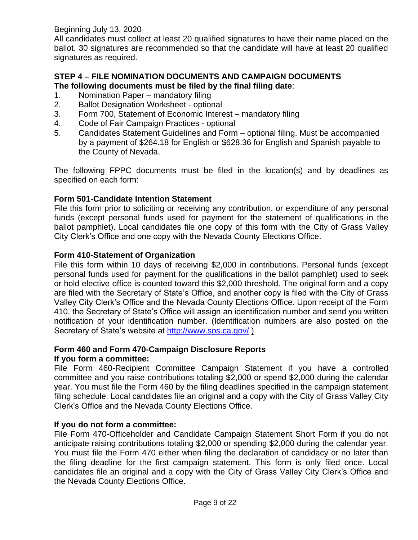Beginning July 13, 2020

All candidates must collect at least 20 qualified signatures to have their name placed on the ballot. 30 signatures are recommended so that the candidate will have at least 20 qualified signatures as required.

# **STEP 4 – FILE NOMINATION DOCUMENTS AND CAMPAIGN DOCUMENTS The following documents must be filed by the final filing date**:

- 1. Nomination Paper mandatory filing
- 2. Ballot Designation Worksheet optional
- 3. Form 700, Statement of Economic Interest mandatory filing
- 4. Code of Fair Campaign Practices optional
- 5. Candidates Statement Guidelines and Form optional filing. Must be accompanied by a payment of \$264.18 for English or \$628.36 for English and Spanish payable to the County of Nevada.

The following FPPC documents must be filed in the location(s) and by deadlines as specified on each form:

# **Form 501**-**Candidate Intention Statement**

File this form prior to soliciting or receiving any contribution, or expenditure of any personal funds (except personal funds used for payment for the statement of qualifications in the ballot pamphlet). Local candidates file one copy of this form with the City of Grass Valley City Clerk's Office and one copy with the Nevada County Elections Office.

# **Form 410-Statement of Organization**

File this form within 10 days of receiving \$2,000 in contributions. Personal funds (except personal funds used for payment for the qualifications in the ballot pamphlet) used to seek or hold elective office is counted toward this \$2,000 threshold. The original form and a copy are filed with the Secretary of State's Office, and another copy is filed with the City of Grass Valley City Clerk's Office and the Nevada County Elections Office. Upon receipt of the Form 410, the Secretary of State's Office will assign an identification number and send you written notification of your identification number. (Identification numbers are also posted on the Secretary of State's website at<http://www.sos.ca.gov/> )

# **Form 460 and Form 470-Campaign Disclosure Reports**

# **If you form a committee:**

File Form 460-Recipient Committee Campaign Statement if you have a controlled committee and you raise contributions totaling \$2,000 or spend \$2,000 during the calendar year. You must file the Form 460 by the filing deadlines specified in the campaign statement filing schedule. Local candidates file an original and a copy with the City of Grass Valley City Clerk's Office and the Nevada County Elections Office.

# **If you do not form a committee:**

File Form 470-Officeholder and Candidate Campaign Statement Short Form if you do not anticipate raising contributions totaling \$2,000 or spending \$2,000 during the calendar year. You must file the Form 470 either when filing the declaration of candidacy or no later than the filing deadline for the first campaign statement. This form is only filed once. Local candidates file an original and a copy with the City of Grass Valley City Clerk's Office and the Nevada County Elections Office.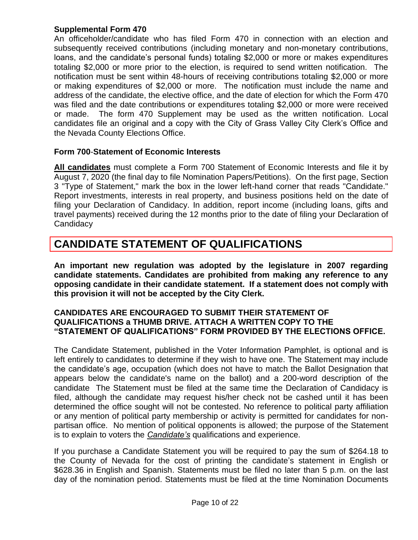# **Supplemental Form 470**

An officeholder/candidate who has filed Form 470 in connection with an election and subsequently received contributions (including monetary and non-monetary contributions, loans, and the candidate's personal funds) totaling \$2,000 or more or makes expenditures totaling \$2,000 or more prior to the election, is required to send written notification. The notification must be sent within 48-hours of receiving contributions totaling \$2,000 or more or making expenditures of \$2,000 or more. The notification must include the name and address of the candidate, the elective office, and the date of election for which the Form 470 was filed and the date contributions or expenditures totaling \$2,000 or more were received or made. The form 470 Supplement may be used as the written notification. Local candidates file an original and a copy with the City of Grass Valley City Clerk's Office and the Nevada County Elections Office.

#### **Form 700**-**Statement of Economic Interests**

**All candidates** must complete a Form 700 Statement of Economic Interests and file it by August 7, 2020 (the final day to file Nomination Papers/Petitions). On the first page, Section 3 "Type of Statement," mark the box in the lower left-hand corner that reads "Candidate." Report investments, interests in real property, and business positions held on the date of filing your Declaration of Candidacy. In addition, report income (including loans, gifts and travel payments) received during the 12 months prior to the date of filing your Declaration of **Candidacy** 

# **CANDIDATE STATEMENT OF QUALIFICATIONS**

**An important new regulation was adopted by the legislature in 2007 regarding candidate statements. Candidates are prohibited from making any reference to any opposing candidate in their candidate statement. If a statement does not comply with this provision it will not be accepted by the City Clerk.**

#### **CANDIDATES ARE ENCOURAGED TO SUBMIT THEIR STATEMENT OF QUALIFICATIONS a THUMB DRIVE. ATTACH A WRITTEN COPY TO THE "STATEMENT OF QUALIFICATIONS" FORM PROVIDED BY THE ELECTIONS OFFICE.**

The Candidate Statement, published in the Voter Information Pamphlet, is optional and is left entirely to candidates to determine if they wish to have one. The Statement may include the candidate's age, occupation (which does not have to match the Ballot Designation that appears below the candidate's name on the ballot) and a 200-word description of the candidate The Statement must be filed at the same time the Declaration of Candidacy is filed, although the candidate may request his/her check not be cashed until it has been determined the office sought will not be contested. No reference to political party affiliation or any mention of political party membership or activity is permitted for candidates for nonpartisan office. No mention of political opponents is allowed; the purpose of the Statement is to explain to voters the *Candidate's* qualifications and experience.

If you purchase a Candidate Statement you will be required to pay the sum of \$264.18 to the County of Nevada for the cost of printing the candidate's statement in English or \$628.36 in English and Spanish. Statements must be filed no later than 5 p.m. on the last day of the nomination period. Statements must be filed at the time Nomination Documents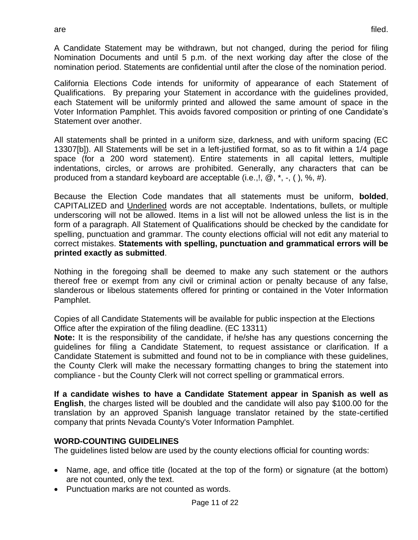A Candidate Statement may be withdrawn, but not changed, during the period for filing Nomination Documents and until 5 p.m. of the next working day after the close of the nomination period. Statements are confidential until after the close of the nomination period.

California Elections Code intends for uniformity of appearance of each Statement of Qualifications. By preparing your Statement in accordance with the guidelines provided, each Statement will be uniformly printed and allowed the same amount of space in the Voter Information Pamphlet. This avoids favored composition or printing of one Candidate's Statement over another.

All statements shall be printed in a uniform size, darkness, and with uniform spacing (EC 13307[b]). All Statements will be set in a left-justified format, so as to fit within a 1/4 page space (for a 200 word statement). Entire statements in all capital letters, multiple indentations, circles, or arrows are prohibited. Generally, any characters that can be produced from a standard keyboard are acceptable (i.e.,!,  $\omega$ ,  $*$ ,  $\cdot$ , (), %, #).

Because the Election Code mandates that all statements must be uniform, **bolded**, CAPITALIZED and Underlined words are not acceptable. Indentations, bullets, or multiple underscoring will not be allowed. Items in a list will not be allowed unless the list is in the form of a paragraph. All Statement of Qualifications should be checked by the candidate for spelling, punctuation and grammar. The county elections official will not edit any material to correct mistakes. **Statements with spelling, punctuation and grammatical errors will be printed exactly as submitted**.

Nothing in the foregoing shall be deemed to make any such statement or the authors thereof free or exempt from any civil or criminal action or penalty because of any false, slanderous or libelous statements offered for printing or contained in the Voter Information Pamphlet.

Copies of all Candidate Statements will be available for public inspection at the Elections Office after the expiration of the filing deadline. (EC 13311)

**Note:** It is the responsibility of the candidate, if he/she has any questions concerning the guidelines for filing a Candidate Statement, to request assistance or clarification. If a Candidate Statement is submitted and found not to be in compliance with these guidelines, the County Clerk will make the necessary formatting changes to bring the statement into compliance - but the County Clerk will not correct spelling or grammatical errors.

**If a candidate wishes to have a Candidate Statement appear in Spanish as well as English**, the charges listed will be doubled and the candidate will also pay \$100.00 for the translation by an approved Spanish language translator retained by the state-certified company that prints Nevada County's Voter Information Pamphlet.

# **WORD-COUNTING GUIDELINES**

The guidelines listed below are used by the county elections official for counting words:

- Name, age, and office title (located at the top of the form) or signature (at the bottom) are not counted, only the text.
- Punctuation marks are not counted as words.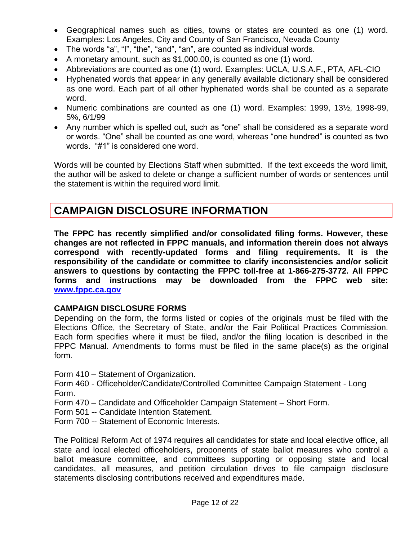- Geographical names such as cities, towns or states are counted as one (1) word. Examples: Los Angeles, City and County of San Francisco, Nevada County
- The words "a", "I", "the", "and", "an", are counted as individual words.
- A monetary amount, such as \$1,000.00, is counted as one (1) word.
- Abbreviations are counted as one (1) word. Examples: UCLA, U.S.A.F., PTA, AFL-CIO
- Hyphenated words that appear in any generally available dictionary shall be considered as one word. Each part of all other hyphenated words shall be counted as a separate word.
- Numeric combinations are counted as one (1) word. Examples: 1999, 13½, 1998-99, 5%, 6/1/99
- Any number which is spelled out, such as "one" shall be considered as a separate word or words. "One" shall be counted as one word, whereas "one hundred" is counted as two words. "#1" is considered one word.

Words will be counted by Elections Staff when submitted. If the text exceeds the word limit, the author will be asked to delete or change a sufficient number of words or sentences until the statement is within the required word limit.

# **CAMPAIGN DISCLOSURE INFORMATION**

**The FPPC has recently simplified and/or consolidated filing forms. However, these changes are not reflected in FPPC manuals, and information therein does not always correspond with recently-updated forms and filing requirements. It is the responsibility of the candidate or committee to clarify inconsistencies and/or solicit answers to questions by contacting the FPPC toll-free at 1-866-275-3772. All FPPC forms and instructions may be downloaded from the FPPC web site: [www.fppc.ca.gov](http://www.fppc.ca.gov/)**

#### **CAMPAIGN DISCLOSURE FORMS**

Depending on the form, the forms listed or copies of the originals must be filed with the Elections Office, the Secretary of State, and/or the Fair Political Practices Commission. Each form specifies where it must be filed, and/or the filing location is described in the FPPC Manual. Amendments to forms must be filed in the same place(s) as the original form.

Form 410 – Statement of Organization.

Form 460 - Officeholder/Candidate/Controlled Committee Campaign Statement - Long Form.

Form 470 – Candidate and Officeholder Campaign Statement – Short Form.

- Form 501 -- Candidate Intention Statement.
- Form 700 -- Statement of Economic Interests.

The Political Reform Act of 1974 requires all candidates for state and local elective office, all state and local elected officeholders, proponents of state ballot measures who control a ballot measure committee, and committees supporting or opposing state and local candidates, all measures, and petition circulation drives to file campaign disclosure statements disclosing contributions received and expenditures made.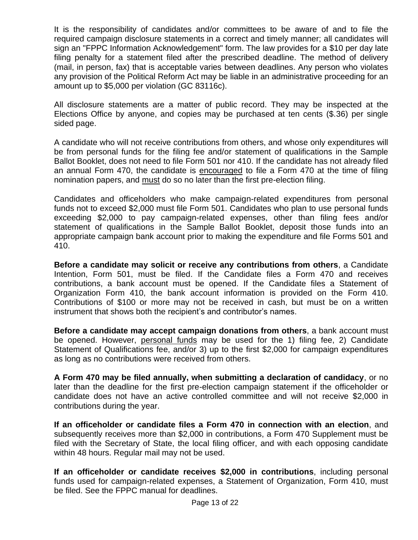It is the responsibility of candidates and/or committees to be aware of and to file the required campaign disclosure statements in a correct and timely manner; all candidates will sign an "FPPC Information Acknowledgement" form. The law provides for a \$10 per day late filing penalty for a statement filed after the prescribed deadline. The method of delivery (mail, in person, fax) that is acceptable varies between deadlines. Any person who violates any provision of the Political Reform Act may be liable in an administrative proceeding for an amount up to \$5,000 per violation (GC 83116c).

All disclosure statements are a matter of public record. They may be inspected at the Elections Office by anyone, and copies may be purchased at ten cents (\$.36) per single sided page.

A candidate who will not receive contributions from others, and whose only expenditures will be from personal funds for the filing fee and/or statement of qualifications in the Sample Ballot Booklet, does not need to file Form 501 nor 410. If the candidate has not already filed an annual Form 470, the candidate is encouraged to file a Form 470 at the time of filing nomination papers, and must do so no later than the first pre-election filing.

Candidates and officeholders who make campaign-related expenditures from personal funds not to exceed \$2,000 must file Form 501. Candidates who plan to use personal funds exceeding \$2,000 to pay campaign-related expenses, other than filing fees and/or statement of qualifications in the Sample Ballot Booklet, deposit those funds into an appropriate campaign bank account prior to making the expenditure and file Forms 501 and 410.

**Before a candidate may solicit or receive any contributions from others**, a Candidate Intention, Form 501, must be filed. If the Candidate files a Form 470 and receives contributions, a bank account must be opened. If the Candidate files a Statement of Organization Form 410, the bank account information is provided on the Form 410. Contributions of \$100 or more may not be received in cash, but must be on a written instrument that shows both the recipient's and contributor's names.

**Before a candidate may accept campaign donations from others**, a bank account must be opened. However, personal funds may be used for the 1) filing fee, 2) Candidate Statement of Qualifications fee, and/or 3) up to the first \$2,000 for campaign expenditures as long as no contributions were received from others.

**A Form 470 may be filed annually, when submitting a declaration of candidacy**, or no later than the deadline for the first pre-election campaign statement if the officeholder or candidate does not have an active controlled committee and will not receive \$2,000 in contributions during the year.

**If an officeholder or candidate files a Form 470 in connection with an election**, and subsequently receives more than \$2,000 in contributions, a Form 470 Supplement must be filed with the Secretary of State, the local filing officer, and with each opposing candidate within 48 hours. Regular mail may not be used.

**If an officeholder or candidate receives \$2,000 in contributions**, including personal funds used for campaign-related expenses, a Statement of Organization, Form 410, must be filed. See the FPPC manual for deadlines.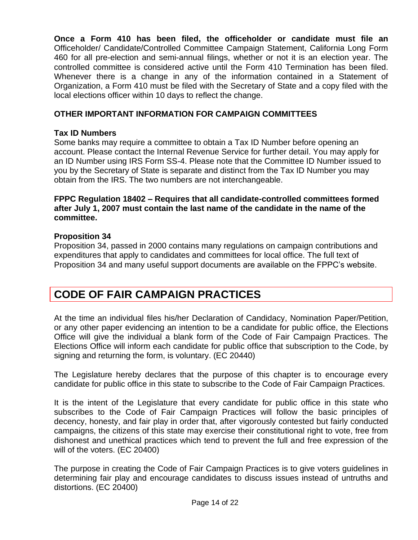**Once a Form 410 has been filed, the officeholder or candidate must file an** Officeholder/ Candidate/Controlled Committee Campaign Statement, California Long Form 460 for all pre-election and semi-annual filings, whether or not it is an election year. The controlled committee is considered active until the Form 410 Termination has been filed. Whenever there is a change in any of the information contained in a Statement of Organization, a Form 410 must be filed with the Secretary of State and a copy filed with the local elections officer within 10 days to reflect the change.

# **OTHER IMPORTANT INFORMATION FOR CAMPAIGN COMMITTEES**

#### **Tax ID Numbers**

Some banks may require a committee to obtain a Tax ID Number before opening an account. Please contact the Internal Revenue Service for further detail. You may apply for an ID Number using IRS Form SS-4. Please note that the Committee ID Number issued to you by the Secretary of State is separate and distinct from the Tax ID Number you may obtain from the IRS. The two numbers are not interchangeable.

#### **FPPC Regulation 18402 – Requires that all candidate-controlled committees formed after July 1, 2007 must contain the last name of the candidate in the name of the committee.**

#### **Proposition 34**

Proposition 34, passed in 2000 contains many regulations on campaign contributions and expenditures that apply to candidates and committees for local office. The full text of Proposition 34 and many useful support documents are available on the FPPC's website.

# **CODE OF FAIR CAMPAIGN PRACTICES**

At the time an individual files his/her Declaration of Candidacy, Nomination Paper/Petition, or any other paper evidencing an intention to be a candidate for public office, the Elections Office will give the individual a blank form of the Code of Fair Campaign Practices. The Elections Office will inform each candidate for public office that subscription to the Code, by signing and returning the form, is voluntary. (EC 20440)

The Legislature hereby declares that the purpose of this chapter is to encourage every candidate for public office in this state to subscribe to the Code of Fair Campaign Practices.

It is the intent of the Legislature that every candidate for public office in this state who subscribes to the Code of Fair Campaign Practices will follow the basic principles of decency, honesty, and fair play in order that, after vigorously contested but fairly conducted campaigns, the citizens of this state may exercise their constitutional right to vote, free from dishonest and unethical practices which tend to prevent the full and free expression of the will of the voters. (EC 20400)

The purpose in creating the Code of Fair Campaign Practices is to give voters guidelines in determining fair play and encourage candidates to discuss issues instead of untruths and distortions. (EC 20400)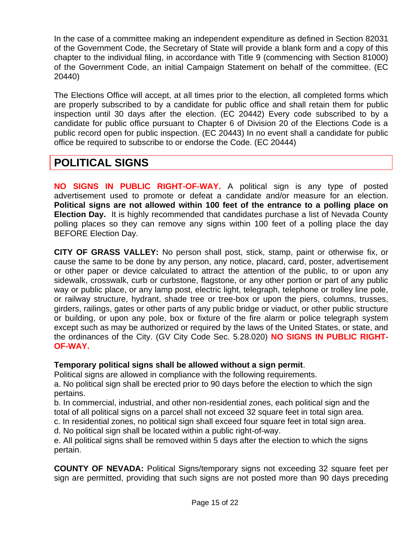In the case of a committee making an independent expenditure as defined in Section 82031 of the Government Code, the Secretary of State will provide a blank form and a copy of this chapter to the individual filing, in accordance with Title 9 (commencing with Section 81000) of the Government Code, an initial Campaign Statement on behalf of the committee. (EC 20440)

The Elections Office will accept, at all times prior to the election, all completed forms which are properly subscribed to by a candidate for public office and shall retain them for public inspection until 30 days after the election. (EC 20442) Every code subscribed to by a candidate for public office pursuant to Chapter 6 of Division 20 of the Elections Code is a public record open for public inspection. (EC 20443) In no event shall a candidate for public office be required to subscribe to or endorse the Code. (EC 20444)

# **POLITICAL SIGNS**

**NO SIGNS IN PUBLIC RIGHT-OF-WAY.** A political sign is any type of posted advertisement used to promote or defeat a candidate and/or measure for an election. **Political signs are not allowed within 100 feet of the entrance to a polling place on Election Day.** It is highly recommended that candidates purchase a list of Nevada County polling places so they can remove any signs within 100 feet of a polling place the day BEFORE Election Day.

**CITY OF GRASS VALLEY:** No person shall post, stick, stamp, paint or otherwise fix, or cause the same to be done by any person, any notice, placard, card, poster, advertisement or other paper or device calculated to attract the attention of the public, to or upon any sidewalk, crosswalk, curb or curbstone, flagstone, or any other portion or part of any public way or public place, or any lamp post, electric light, telegraph, telephone or trolley line pole, or railway structure, hydrant, shade tree or tree-box or upon the piers, columns, trusses, girders, railings, gates or other parts of any public bridge or viaduct, or other public structure or building, or upon any pole, box or fixture of the fire alarm or police telegraph system except such as may be authorized or required by the laws of the United States, or state, and the ordinances of the City. (GV City Code Sec. 5.28.020) **NO SIGNS IN PUBLIC RIGHT-OF-WAY.**

# **Temporary political signs shall be allowed without a sign permit**.

Political signs are allowed in compliance with the following requirements.

a. No political sign shall be erected prior to 90 days before the election to which the sign pertains.

b. In commercial, industrial, and other non-residential zones, each political sign and the total of all political signs on a parcel shall not exceed 32 square feet in total sign area.

c. In residential zones, no political sign shall exceed four square feet in total sign area.

d. No political sign shall be located within a public right-of-way.

e. All political signs shall be removed within 5 days after the election to which the signs pertain.

**COUNTY OF NEVADA:** Political Signs/temporary signs not exceeding 32 square feet per sign are permitted, providing that such signs are not posted more than 90 days preceding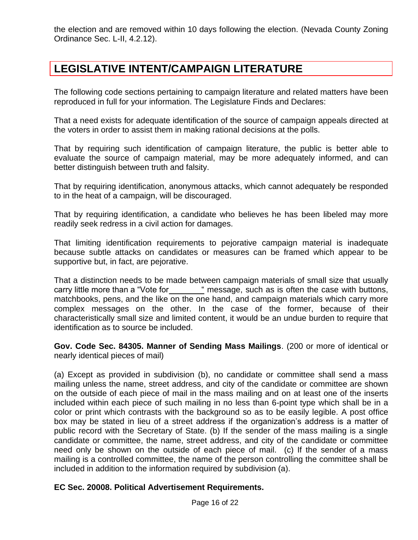the election and are removed within 10 days following the election. (Nevada County Zoning Ordinance Sec. L-II, 4.2.12).

# **LEGISLATIVE INTENT/CAMPAIGN LITERATURE**

The following code sections pertaining to campaign literature and related matters have been reproduced in full for your information. The Legislature Finds and Declares:

That a need exists for adequate identification of the source of campaign appeals directed at the voters in order to assist them in making rational decisions at the polls.

That by requiring such identification of campaign literature, the public is better able to evaluate the source of campaign material, may be more adequately informed, and can better distinguish between truth and falsity.

That by requiring identification, anonymous attacks, which cannot adequately be responded to in the heat of a campaign, will be discouraged.

That by requiring identification, a candidate who believes he has been libeled may more readily seek redress in a civil action for damages.

That limiting identification requirements to pejorative campaign material is inadequate because subtle attacks on candidates or measures can be framed which appear to be supportive but, in fact, are pejorative.

That a distinction needs to be made between campaign materials of small size that usually carry little more than a "Vote for " message, such as is often the case with buttons, matchbooks, pens, and the like on the one hand, and campaign materials which carry more complex messages on the other. In the case of the former, because of their characteristically small size and limited content, it would be an undue burden to require that identification as to source be included.

**Gov. Code Sec. 84305. Manner of Sending Mass Mailings**. (200 or more of identical or nearly identical pieces of mail)

(a) Except as provided in subdivision (b), no candidate or committee shall send a mass mailing unless the name, street address, and city of the candidate or committee are shown on the outside of each piece of mail in the mass mailing and on at least one of the inserts included within each piece of such mailing in no less than 6-point type which shall be in a color or print which contrasts with the background so as to be easily legible. A post office box may be stated in lieu of a street address if the organization's address is a matter of public record with the Secretary of State. (b) If the sender of the mass mailing is a single candidate or committee, the name, street address, and city of the candidate or committee need only be shown on the outside of each piece of mail. (c) If the sender of a mass mailing is a controlled committee, the name of the person controlling the committee shall be included in addition to the information required by subdivision (a).

#### **EC Sec. 20008. Political Advertisement Requirements.**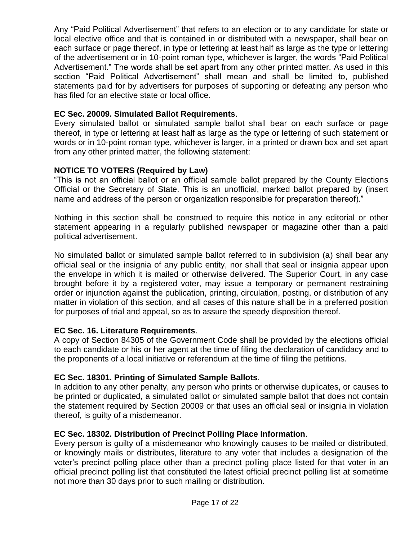Any "Paid Political Advertisement" that refers to an election or to any candidate for state or local elective office and that is contained in or distributed with a newspaper, shall bear on each surface or page thereof, in type or lettering at least half as large as the type or lettering of the advertisement or in 10-point roman type, whichever is larger, the words "Paid Political Advertisement." The words shall be set apart from any other printed matter. As used in this section "Paid Political Advertisement" shall mean and shall be limited to, published statements paid for by advertisers for purposes of supporting or defeating any person who has filed for an elective state or local office.

# **EC Sec. 20009. Simulated Ballot Requirements**.

Every simulated ballot or simulated sample ballot shall bear on each surface or page thereof, in type or lettering at least half as large as the type or lettering of such statement or words or in 10-point roman type, whichever is larger, in a printed or drawn box and set apart from any other printed matter, the following statement:

# **NOTICE TO VOTERS (Required by Law)**

"This is not an official ballot or an official sample ballot prepared by the County Elections Official or the Secretary of State. This is an unofficial, marked ballot prepared by (insert name and address of the person or organization responsible for preparation thereof)."

Nothing in this section shall be construed to require this notice in any editorial or other statement appearing in a regularly published newspaper or magazine other than a paid political advertisement.

No simulated ballot or simulated sample ballot referred to in subdivision (a) shall bear any official seal or the insignia of any public entity, nor shall that seal or insignia appear upon the envelope in which it is mailed or otherwise delivered. The Superior Court, in any case brought before it by a registered voter, may issue a temporary or permanent restraining order or injunction against the publication, printing, circulation, posting, or distribution of any matter in violation of this section, and all cases of this nature shall be in a preferred position for purposes of trial and appeal, so as to assure the speedy disposition thereof.

#### **EC Sec. 16. Literature Requirements**.

A copy of Section 84305 of the Government Code shall be provided by the elections official to each candidate or his or her agent at the time of filing the declaration of candidacy and to the proponents of a local initiative or referendum at the time of filing the petitions.

#### **EC Sec. 18301. Printing of Simulated Sample Ballots**.

In addition to any other penalty, any person who prints or otherwise duplicates, or causes to be printed or duplicated, a simulated ballot or simulated sample ballot that does not contain the statement required by Section 20009 or that uses an official seal or insignia in violation thereof, is guilty of a misdemeanor.

#### **EC Sec. 18302. Distribution of Precinct Polling Place Information**.

Every person is guilty of a misdemeanor who knowingly causes to be mailed or distributed, or knowingly mails or distributes, literature to any voter that includes a designation of the voter's precinct polling place other than a precinct polling place listed for that voter in an official precinct polling list that constituted the latest official precinct polling list at sometime not more than 30 days prior to such mailing or distribution.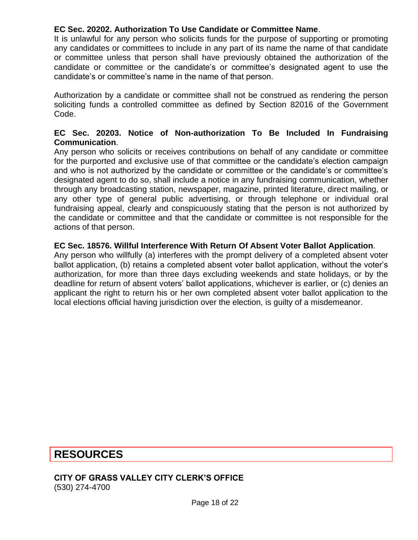### **EC Sec. 20202. Authorization To Use Candidate or Committee Name**.

It is unlawful for any person who solicits funds for the purpose of supporting or promoting any candidates or committees to include in any part of its name the name of that candidate or committee unless that person shall have previously obtained the authorization of the candidate or committee or the candidate's or committee's designated agent to use the candidate's or committee's name in the name of that person.

Authorization by a candidate or committee shall not be construed as rendering the person soliciting funds a controlled committee as defined by Section 82016 of the Government Code.

#### **EC Sec. 20203. Notice of Non-authorization To Be Included In Fundraising Communication**.

Any person who solicits or receives contributions on behalf of any candidate or committee for the purported and exclusive use of that committee or the candidate's election campaign and who is not authorized by the candidate or committee or the candidate's or committee's designated agent to do so, shall include a notice in any fundraising communication, whether through any broadcasting station, newspaper, magazine, printed literature, direct mailing, or any other type of general public advertising, or through telephone or individual oral fundraising appeal, clearly and conspicuously stating that the person is not authorized by the candidate or committee and that the candidate or committee is not responsible for the actions of that person.

#### **EC Sec. 18576. Willful Interference With Return Of Absent Voter Ballot Application**.

Any person who willfully (a) interferes with the prompt delivery of a completed absent voter ballot application, (b) retains a completed absent voter ballot application, without the voter's authorization, for more than three days excluding weekends and state holidays, or by the deadline for return of absent voters' ballot applications, whichever is earlier, or (c) denies an applicant the right to return his or her own completed absent voter ballot application to the local elections official having jurisdiction over the election, is guilty of a misdemeanor.

# **RESOURCES**

#### **CITY OF GRASS VALLEY CITY CLERK'S OFFICE** (530) 274-4700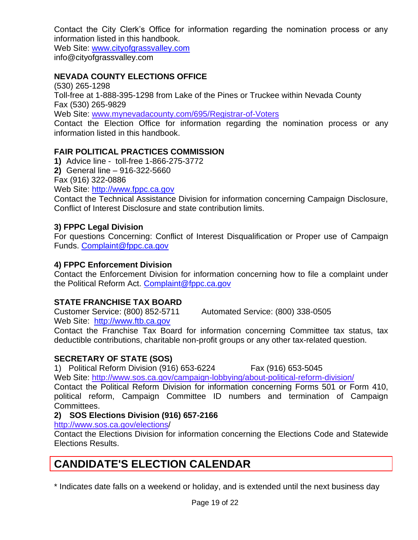Contact the City Clerk's Office for information regarding the nomination process or any information listed in this handbook.

Web Site: [www.cityofgrassvalley.com](http://www.cityofgrassvalley.com/) info@cityofgrassvalley.com

# **NEVADA COUNTY ELECTIONS OFFICE**

(530) 265-1298 Toll-free at 1-888-395-1298 from Lake of the Pines or Truckee within Nevada County Fax (530) 265-9829 Web Site: [www.mynevadacounty.com/695/R](http://www.mynevadacounty.com/695/)egistrar-of-Voters Contact the Election Office for information regarding the nomination process or any information listed in this handbook.

# **FAIR POLITICAL PRACTICES COMMISSION**

**1)** Advice line - toll-free 1-866-275-3772 **2)** General line – 916-322-5660 Fax (916) 322-0886 Web Site: [http://www.fppc.ca.gov](http://www.fppc.ca.gov/)

Contact the Technical Assistance Division for information concerning Campaign Disclosure, Conflict of Interest Disclosure and state contribution limits.

# **3) FPPC Legal Division**

For questions Concerning: Conflict of Interest Disqualification or Proper use of Campaign Funds. [Complaint@fppc.ca.gov](mailto:Complaint@fppc.ca.gov)

# **4) FPPC Enforcement Division**

Contact the Enforcement Division for information concerning how to file a complaint under the Political Reform Act. [Complaint@fppc.ca.gov](mailto:Complaint@fppc.ca.gov)

# **STATE FRANCHISE TAX BOARD**

Customer Service: (800) 852-5711 Automated Service: (800) 338-0505 Web Site: [http://www.ftb.ca.gov](http://www.ftb.ca.gov/)

Contact the Franchise Tax Board for information concerning Committee tax status, tax deductible contributions, charitable non-profit groups or any other tax-related question.

# **SECRETARY OF STATE (SOS)**

1) Political Reform Division (916) 653-6224 Fax (916) 653-5045

Web Site:<http://www.sos.ca.gov/>campaign-lobbying/about-political-reform-division/

Contact the Political Reform Division for information concerning Forms 501 or Form 410, political reform, Campaign Committee ID numbers and termination of Campaign Committees.

# **2) SOS Elections Division (916) 657-2166**

http://www.sos.ca.gov/elections/

Contact the Elections Division for information concerning the Elections Code and Statewide Elections Results.

# **CANDIDATE'S ELECTION CALENDAR**

\* Indicates date falls on a weekend or holiday, and is extended until the next business day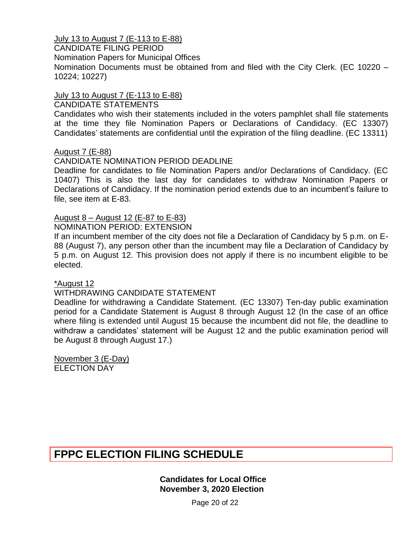July 13 to August 7 (E-113 to E-88)

CANDIDATE FILING PERIOD

Nomination Papers for Municipal Offices

Nomination Documents must be obtained from and filed with the City Clerk. (EC 10220 – 10224; 10227)

#### July 13 to August 7 (E-113 to E-88)

#### CANDIDATE STATEMENTS

Candidates who wish their statements included in the voters pamphlet shall file statements at the time they file Nomination Papers or Declarations of Candidacy. (EC 13307) Candidates' statements are confidential until the expiration of the filing deadline. (EC 13311)

#### August 7 (E-88)

#### CANDIDATE NOMINATION PERIOD DEADLINE

Deadline for candidates to file Nomination Papers and/or Declarations of Candidacy. (EC 10407) This is also the last day for candidates to withdraw Nomination Papers or Declarations of Candidacy. If the nomination period extends due to an incumbent's failure to file, see item at E-83.

#### August 8 – August 12 (E-87 to E-83)

#### NOMINATION PERIOD: EXTENSION

If an incumbent member of the city does not file a Declaration of Candidacy by 5 p.m. on E-88 (August 7), any person other than the incumbent may file a Declaration of Candidacy by 5 p.m. on August 12. This provision does not apply if there is no incumbent eligible to be elected.

\*August 12

#### WITHDRAWING CANDIDATE STATEMENT

Deadline for withdrawing a Candidate Statement. (EC 13307) Ten-day public examination period for a Candidate Statement is August 8 through August 12 (In the case of an office where filing is extended until August 15 because the incumbent did not file, the deadline to withdraw a candidates' statement will be August 12 and the public examination period will be August 8 through August 17.)

November 3 (E-Day) ELECTION DAY

# **FPPC ELECTION FILING SCHEDULE**

**Candidates for Local Office November 3, 2020 Election**

Page 20 of 22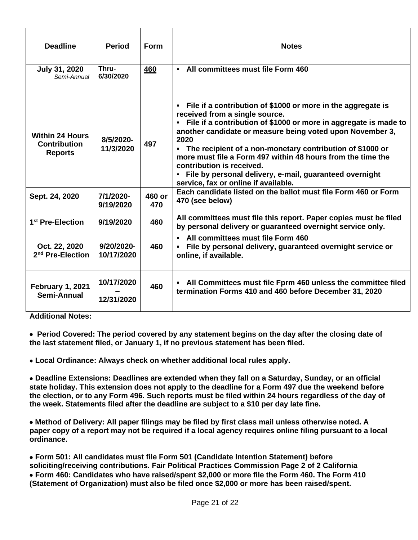| <b>Deadline</b>                                                 | <b>Period</b>            | Form          | <b>Notes</b>                                                                                                                                                                                                                                                                                                                                                                                                                                                                                                                |
|-----------------------------------------------------------------|--------------------------|---------------|-----------------------------------------------------------------------------------------------------------------------------------------------------------------------------------------------------------------------------------------------------------------------------------------------------------------------------------------------------------------------------------------------------------------------------------------------------------------------------------------------------------------------------|
| July 31, 2020<br>Semi-Annual                                    | Thru-<br>6/30/2020       | 460           | - All committees must file Form 460                                                                                                                                                                                                                                                                                                                                                                                                                                                                                         |
| <b>Within 24 Hours</b><br><b>Contribution</b><br><b>Reports</b> | 8/5/2020-<br>11/3/2020   | 497           | File if a contribution of \$1000 or more in the aggregate is<br>$\blacksquare$<br>received from a single source.<br>• File if a contribution of \$1000 or more in aggregate is made to<br>another candidate or measure being voted upon November 3,<br>2020<br>• The recipient of a non-monetary contribution of \$1000 or<br>more must file a Form 497 within 48 hours from the time the<br>contribution is received.<br>• File by personal delivery, e-mail, guaranteed overnight<br>service, fax or online if available. |
| Sept. 24, 2020                                                  | 7/1/2020-<br>9/19/2020   | 460 or<br>470 | Each candidate listed on the ballot must file Form 460 or Form<br>470 (see below)                                                                                                                                                                                                                                                                                                                                                                                                                                           |
| 1 <sup>st</sup> Pre-Election                                    | 9/19/2020                | 460           | All committees must file this report. Paper copies must be filed<br>by personal delivery or guaranteed overnight service only.                                                                                                                                                                                                                                                                                                                                                                                              |
| Oct. 22, 2020<br>2 <sup>nd</sup> Pre-Election                   | 9/20/2020-<br>10/17/2020 | 460           | All committees must file Form 460<br>File by personal delivery, guaranteed overnight service or<br>online, if available.                                                                                                                                                                                                                                                                                                                                                                                                    |
| February 1, 2021<br>Semi-Annual                                 | 10/17/2020<br>12/31/2020 | 460           | All Committees must file Fprm 460 unless the committee filed<br>termination Forms 410 and 460 before December 31, 2020                                                                                                                                                                                                                                                                                                                                                                                                      |

**Additional Notes:** 

• **Period Covered: The period covered by any statement begins on the day after the closing date of the last statement filed, or January 1, if no previous statement has been filed.** 

• **Local Ordinance: Always check on whether additional local rules apply.** 

• **Deadline Extensions: Deadlines are extended when they fall on a Saturday, Sunday, or an official state holiday. This extension does not apply to the deadline for a Form 497 due the weekend before the election, or to any Form 496. Such reports must be filed within 24 hours regardless of the day of the week. Statements filed after the deadline are subject to a \$10 per day late fine.** 

• **Method of Delivery: All paper filings may be filed by first class mail unless otherwise noted. A paper copy of a report may not be required if a local agency requires online filing pursuant to a local ordinance.** 

• **Form 501: All candidates must file Form 501 (Candidate Intention Statement) before soliciting/receiving contributions. Fair Political Practices Commission Page 2 of 2 California**  • **Form 460: Candidates who have raised/spent \$2,000 or more file the Form 460. The Form 410 (Statement of Organization) must also be filed once \$2,000 or more has been raised/spent.**